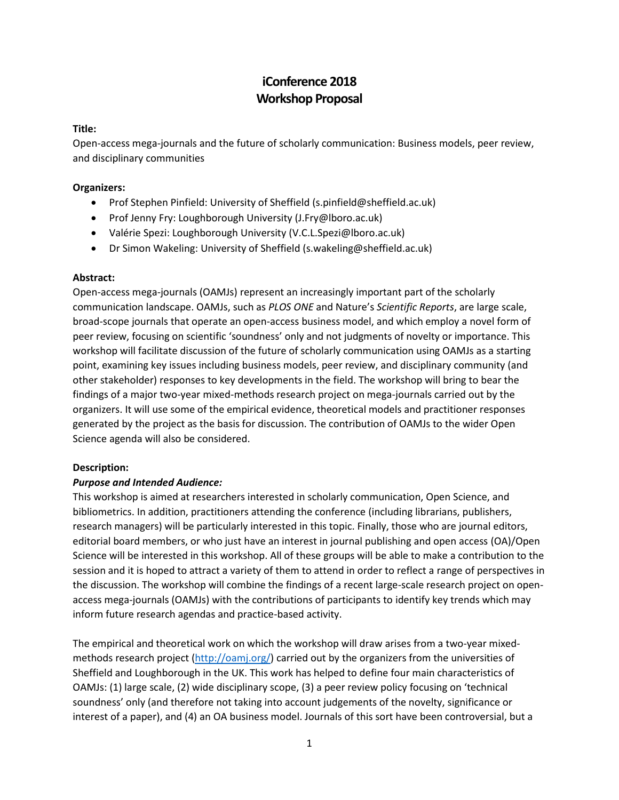# **iConference 2018 Workshop Proposal**

## **Title:**

Open-access mega-journals and the future of scholarly communication: Business models, peer review, and disciplinary communities

#### **Organizers:**

- Prof Stephen Pinfield: University of Sheffield (s.pinfield@sheffield.ac.uk)
- Prof Jenny Fry: Loughborough University (J.Fry@lboro.ac.uk)
- Valérie Spezi: Loughborough University (V.C.L.Spezi@lboro.ac.uk)
- Dr Simon Wakeling: University of Sheffield (s.wakeling@sheffield.ac.uk)

#### **Abstract:**

Open-access mega-journals (OAMJs) represent an increasingly important part of the scholarly communication landscape. OAMJs, such as *PLOS ONE* and Nature's *Scientific Reports*, are large scale, broad-scope journals that operate an open-access business model, and which employ a novel form of peer review, focusing on scientific 'soundness' only and not judgments of novelty or importance. This workshop will facilitate discussion of the future of scholarly communication using OAMJs as a starting point, examining key issues including business models, peer review, and disciplinary community (and other stakeholder) responses to key developments in the field. The workshop will bring to bear the findings of a major two-year mixed-methods research project on mega-journals carried out by the organizers. It will use some of the empirical evidence, theoretical models and practitioner responses generated by the project as the basis for discussion. The contribution of OAMJs to the wider Open Science agenda will also be considered.

## **Description:**

## *Purpose and Intended Audience:*

This workshop is aimed at researchers interested in scholarly communication, Open Science, and bibliometrics. In addition, practitioners attending the conference (including librarians, publishers, research managers) will be particularly interested in this topic. Finally, those who are journal editors, editorial board members, or who just have an interest in journal publishing and open access (OA)/Open Science will be interested in this workshop. All of these groups will be able to make a contribution to the session and it is hoped to attract a variety of them to attend in order to reflect a range of perspectives in the discussion. The workshop will combine the findings of a recent large-scale research project on openaccess mega-journals (OAMJs) with the contributions of participants to identify key trends which may inform future research agendas and practice-based activity.

The empirical and theoretical work on which the workshop will draw arises from a two-year mixedmethods research project [\(http://oamj.org/\)](http://oamj.org/) carried out by the organizers from the universities of Sheffield and Loughborough in the UK. This work has helped to define four main characteristics of OAMJs: (1) large scale, (2) wide disciplinary scope, (3) a peer review policy focusing on 'technical soundness' only (and therefore not taking into account judgements of the novelty, significance or interest of a paper), and (4) an OA business model. Journals of this sort have been controversial, but a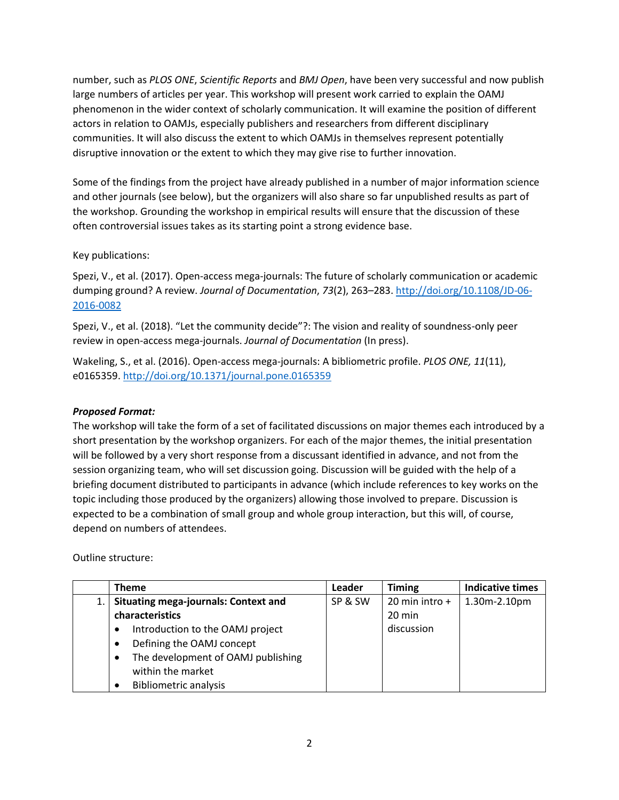number, such as *PLOS ONE*, *Scientific Reports* and *BMJ Open*, have been very successful and now publish large numbers of articles per year. This workshop will present work carried to explain the OAMJ phenomenon in the wider context of scholarly communication. It will examine the position of different actors in relation to OAMJs, especially publishers and researchers from different disciplinary communities. It will also discuss the extent to which OAMJs in themselves represent potentially disruptive innovation or the extent to which they may give rise to further innovation.

Some of the findings from the project have already published in a number of major information science and other journals (see below), but the organizers will also share so far unpublished results as part of the workshop. Grounding the workshop in empirical results will ensure that the discussion of these often controversial issues takes as its starting point a strong evidence base.

## Key publications:

Spezi, V., et al. (2017). Open-access mega-journals: The future of scholarly communication or academic dumping ground? A review. *Journal of Documentation*, *73*(2), 263–283[. http://doi.org/10.1108/JD-06-](http://doi.org/10.1108/JD-06-2016-0082) [2016-0082](http://doi.org/10.1108/JD-06-2016-0082)

Spezi, V., et al. (2018). "Let the community decide"?: The vision and reality of soundness-only peer review in open-access mega-journals. *Journal of Documentation* (In press).

Wakeling, S., et al. (2016). Open-access mega-journals: A bibliometric profile. *PLOS ONE, 11*(11), e0165359.<http://doi.org/10.1371/journal.pone.0165359>

## *Proposed Format:*

The workshop will take the form of a set of facilitated discussions on major themes each introduced by a short presentation by the workshop organizers. For each of the major themes, the initial presentation will be followed by a very short response from a discussant identified in advance, and not from the session organizing team, who will set discussion going. Discussion will be guided with the help of a briefing document distributed to participants in advance (which include references to key works on the topic including those produced by the organizers) allowing those involved to prepare. Discussion is expected to be a combination of small group and whole group interaction, but this will, of course, depend on numbers of attendees.

Outline structure:

| <b>Theme</b>                                            | Leader  | <b>Timing</b>    | <b>Indicative times</b> |
|---------------------------------------------------------|---------|------------------|-------------------------|
| <b>Situating mega-journals: Context and</b>             | SP & SW | 20 min intro +   | 1.30m-2.10pm            |
| characteristics                                         |         | $20 \text{ min}$ |                         |
| Introduction to the OAMJ project                        |         | discussion       |                         |
| Defining the OAMJ concept                               |         |                  |                         |
| The development of OAMJ publishing<br>within the market |         |                  |                         |
| <b>Bibliometric analysis</b>                            |         |                  |                         |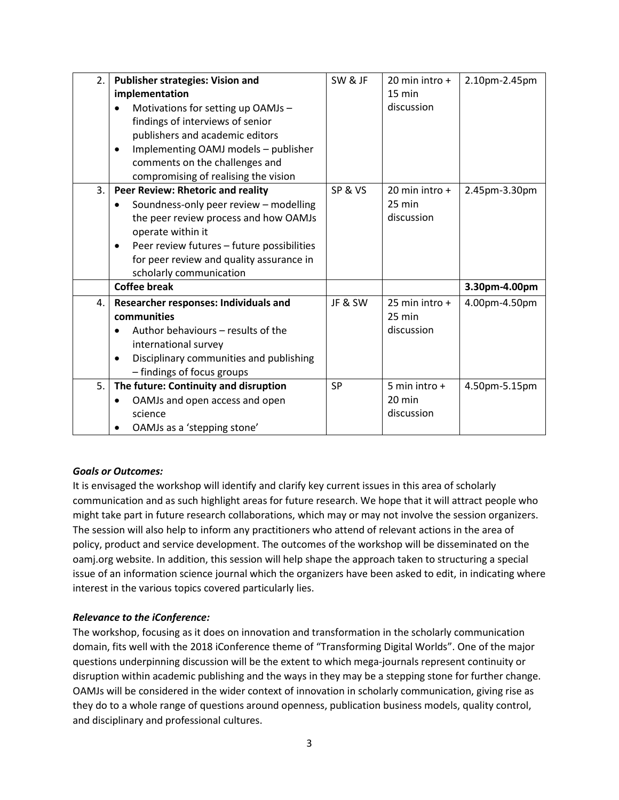| 2. | <b>Publisher strategies: Vision and</b>           | SW & JF   | 20 min intro +   | 2.10pm-2.45pm |
|----|---------------------------------------------------|-----------|------------------|---------------|
|    | implementation                                    |           | $15 \text{ min}$ |               |
|    | Motivations for setting up OAMJs -                |           | discussion       |               |
|    | findings of interviews of senior                  |           |                  |               |
|    | publishers and academic editors                   |           |                  |               |
|    | Implementing OAMJ models - publisher<br>$\bullet$ |           |                  |               |
|    | comments on the challenges and                    |           |                  |               |
|    | compromising of realising the vision              |           |                  |               |
| 3. | Peer Review: Rhetoric and reality                 | SP&VS     | 20 min intro $+$ | 2.45pm-3.30pm |
|    | Soundness-only peer review - modelling            |           | $25 \text{ min}$ |               |
|    | the peer review process and how OAMJs             |           | discussion       |               |
|    | operate within it                                 |           |                  |               |
|    | Peer review futures - future possibilities<br>٠   |           |                  |               |
|    | for peer review and quality assurance in          |           |                  |               |
|    | scholarly communication                           |           |                  |               |
|    | <b>Coffee break</b>                               |           |                  | 3.30pm-4.00pm |
| 4. | Researcher responses: Individuals and             | JF & SW   | 25 min intro $+$ | 4.00pm-4.50pm |
|    | communities                                       |           | 25 min           |               |
|    | Author behaviours – results of the                |           | discussion       |               |
|    | international survey                              |           |                  |               |
|    | Disciplinary communities and publishing           |           |                  |               |
|    | - findings of focus groups                        |           |                  |               |
| 5. | The future: Continuity and disruption             | <b>SP</b> | 5 min intro $+$  | 4.50pm-5.15pm |
|    | OAMJs and open access and open<br>$\bullet$       |           | 20 min           |               |
|    | science                                           |           | discussion       |               |
|    | OAMJs as a 'stepping stone'                       |           |                  |               |

## *Goals or Outcomes:*

It is envisaged the workshop will identify and clarify key current issues in this area of scholarly communication and as such highlight areas for future research. We hope that it will attract people who might take part in future research collaborations, which may or may not involve the session organizers. The session will also help to inform any practitioners who attend of relevant actions in the area of policy, product and service development. The outcomes of the workshop will be disseminated on the oamj.org website. In addition, this session will help shape the approach taken to structuring a special issue of an information science journal which the organizers have been asked to edit, in indicating where interest in the various topics covered particularly lies.

## *Relevance to the iConference:*

The workshop, focusing as it does on innovation and transformation in the scholarly communication domain, fits well with the 2018 iConference theme of "Transforming Digital Worlds". One of the major questions underpinning discussion will be the extent to which mega-journals represent continuity or disruption within academic publishing and the ways in they may be a stepping stone for further change. OAMJs will be considered in the wider context of innovation in scholarly communication, giving rise as they do to a whole range of questions around openness, publication business models, quality control, and disciplinary and professional cultures.